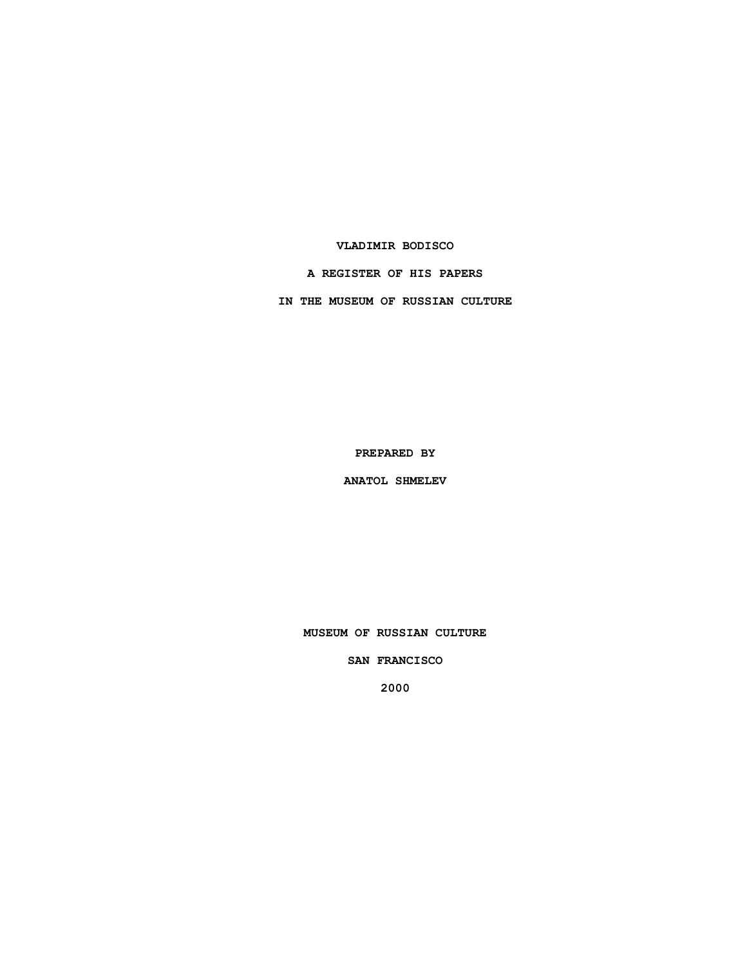#### **VLADIMIR BODISCO**

### **A REGISTER OF HIS PAPERS**

**IN THE MUSEUM OF RUSSIAN CULTURE**

**PREPARED BY**

**ANATOL SHMELEV**

**MUSEUM OF RUSSIAN CULTURE**

**SAN FRANCISCO**

**2000**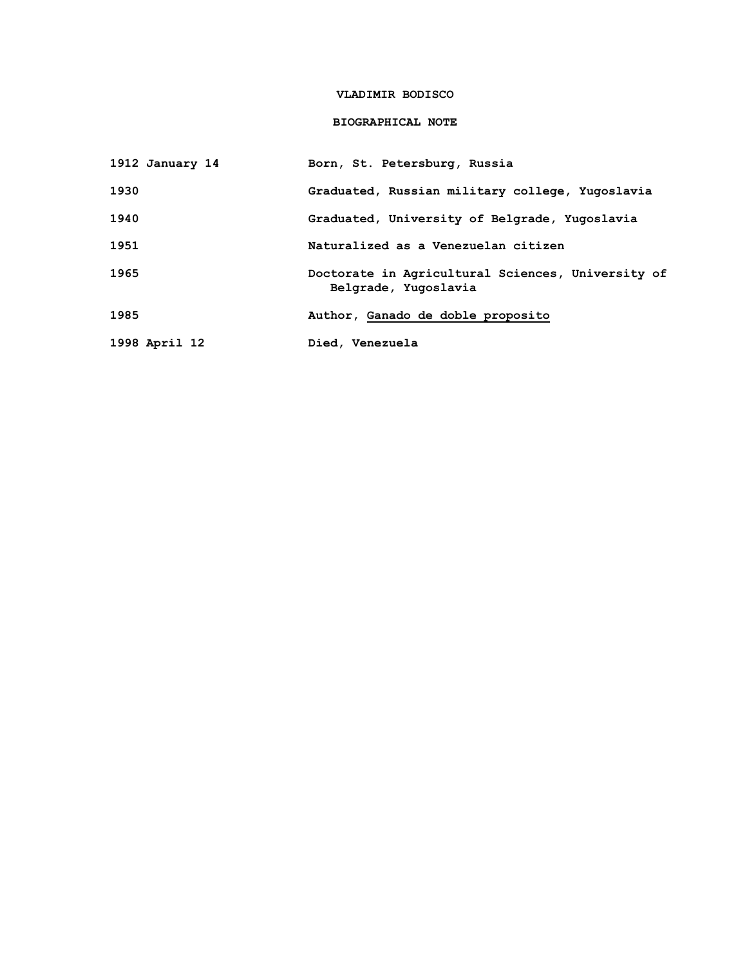### **VLADIMIR BODISCO**

# **BIOGRAPHICAL NOTE**

| 1912 January 14 | Born, St. Petersburg, Russia                                              |
|-----------------|---------------------------------------------------------------------------|
| 1930            | Graduated, Russian military college, Yugoslavia                           |
| 1940            | Graduated, University of Belgrade, Yugoslavia                             |
| 1951            | Naturalized as a Venezuelan citizen                                       |
| 1965            | Doctorate in Agricultural Sciences, University of<br>Belgrade, Yugoslavia |
| 1985            | Author, Ganado de doble proposito                                         |
| 1998 April 12   | Died, Venezuela                                                           |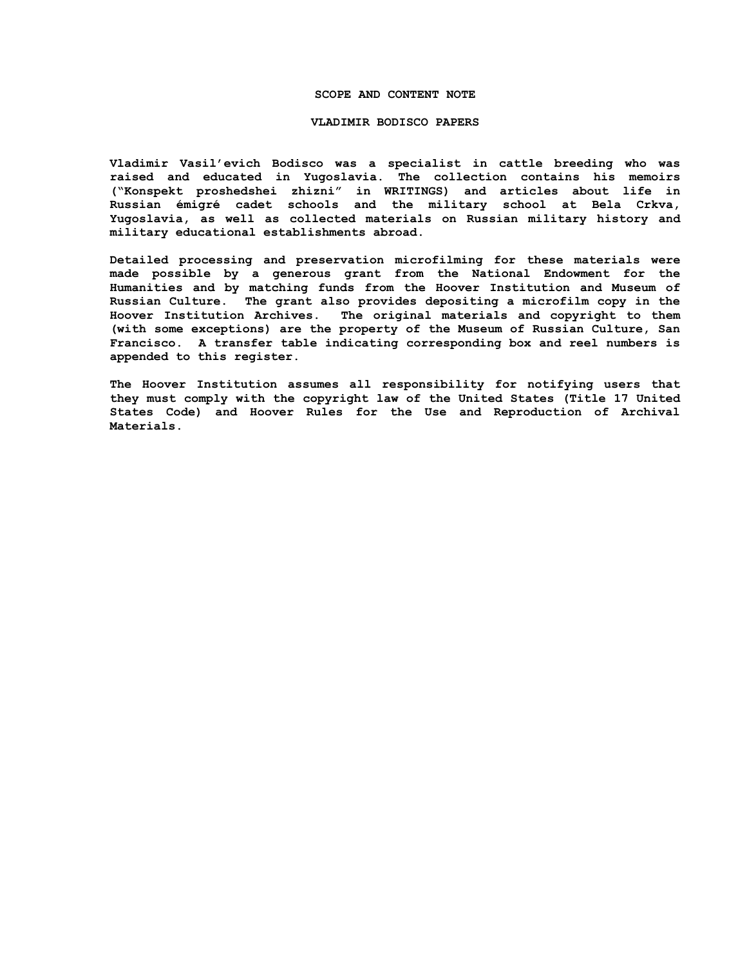#### **SCOPE AND CONTENT NOTE**

#### **VLADIMIR BODISCO PAPERS**

**Vladimir Vasil'evich Bodisco was a specialist in cattle breeding who was raised and educated in Yugoslavia. The collection contains his memoirs ("Konspekt proshedshei zhizni" in WRITINGS) and articles about life in Russian émigré cadet schools and the military school at Bela Crkva, Yugoslavia, as well as collected materials on Russian military history and military educational establishments abroad.**

**Detailed processing and preservation microfilming for these materials were made possible by a generous grant from the National Endowment for the Humanities and by matching funds from the Hoover Institution and Museum of Russian Culture. The grant also provides depositing a microfilm copy in the Hoover Institution Archives. The original materials and copyright to them (with some exceptions) are the property of the Museum of Russian Culture, San Francisco. A transfer table indicating corresponding box and reel numbers is appended to this register.**

**The Hoover Institution assumes all responsibility for notifying users that they must comply with the copyright law of the United States (Title 17 United States Code) and Hoover Rules for the Use and Reproduction of Archival Materials.**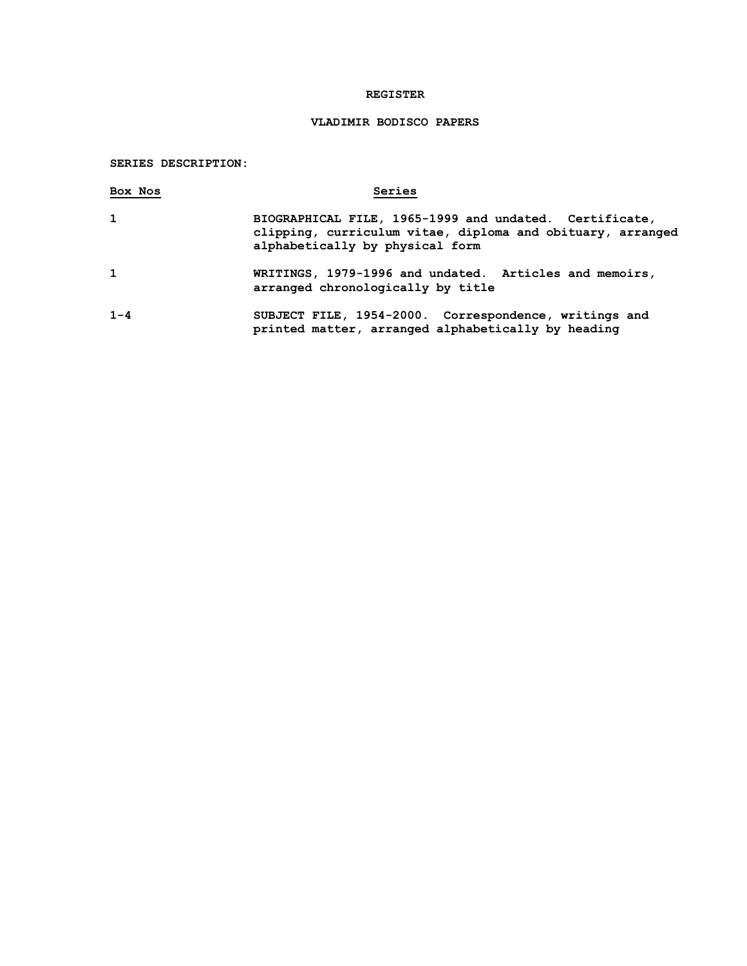### **REGISTER**

# **VLADIMIR BODISCO PAPERS**

# **SERIES DESCRIPTION:**

| Box Nos      | Series                                                                                                                                                  |
|--------------|---------------------------------------------------------------------------------------------------------------------------------------------------------|
| 1            | BIOGRAPHICAL FILE, 1965-1999 and undated. Certificate,<br>clipping, curriculum vitae, diploma and obituary, arranged<br>alphabetically by physical form |
| $\mathbf{1}$ | WRITINGS, 1979-1996 and undated. Articles and memoirs,<br>arranged chronologically by title                                                             |
| $1 - 4$      | SUBJECT FILE, 1954-2000. Correspondence, writings and<br>printed matter, arranged alphabetically by heading                                             |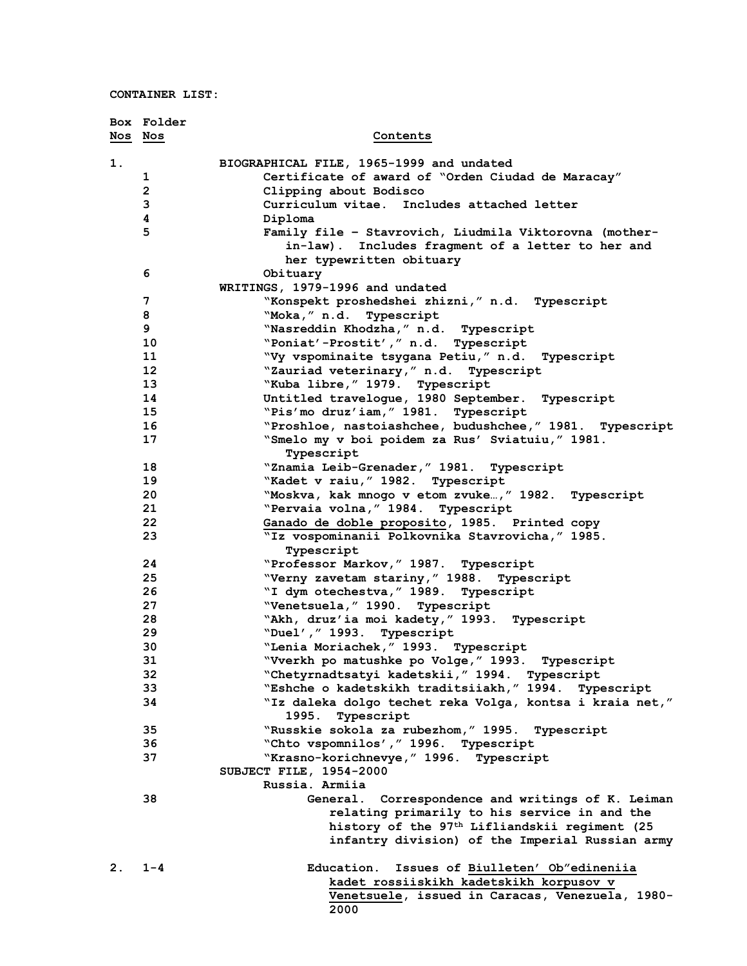|         | Box Folder              |                                                               |
|---------|-------------------------|---------------------------------------------------------------|
| Nos Nos |                         | Contents                                                      |
| 1.      |                         | BIOGRAPHICAL FILE, 1965-1999 and undated                      |
|         | 1                       | Certificate of award of "Orden Ciudad de Maracay"             |
|         | $\overline{\mathbf{c}}$ | Clipping about Bodisco                                        |
|         | 3                       | Curriculum vitae. Includes attached letter                    |
|         | 4                       | Diploma                                                       |
|         | 5                       | Family file - Stavrovich, Liudmila Viktorovna (mother-        |
|         |                         | in-law). Includes fragment of a letter to her and             |
|         |                         | her typewritten obituary                                      |
|         | 6                       | Obituary                                                      |
|         |                         | WRITINGS, 1979-1996 and undated                               |
|         | 7                       | "Konspekt proshedshei zhizni," n.d. Typescript                |
|         | 8                       | "Moka," n.d.<br>Typescript                                    |
|         | 9                       | "Nasreddin Khodzha, " n.d. Typescript                         |
|         | 10                      | "Poniat'-Prostit'," n.d. Typescript                           |
|         | 11                      | "Vy vspominaite tsygana Petiu," n.d. Typescript               |
|         | 12                      | "Zauriad veterinary," n.d. Typescript                         |
|         | 13                      | "Kuba libre, " 1979. Typescript                               |
|         | 14                      | Untitled traveloque, 1980 September. Typescript               |
|         | 15                      | "Pis'mo druz'iam, "1981. Typescript                           |
|         | 16                      | "Proshloe, nastoiashchee, budushchee," 1981. Typescript       |
|         | 17                      | "Smelo my v boi poidem za Rus' Sviatuiu," 1981.<br>Typescript |
|         | 18                      | "Znamia Leib-Grenader, " 1981. Typescript                     |
|         | 19                      | "Kadet v raiu, " 1982. Typescript                             |
|         | 20                      | "Moskva, kak mnogo v etom zvuke," 1982. Typescript            |
|         | 21                      | "Pervaia volna, " 1984. Typescript                            |
|         | 22                      | Ganado de doble proposito, 1985. Printed copy                 |
|         | 23                      | "Iz vospominanii Polkovnika Stavrovicha," 1985.               |
|         |                         | Typescript                                                    |
|         | 24                      | "Professor Markov, " 1987. Typescript                         |
|         | 25                      | "Verny zavetam stariny," 1988. Typescript                     |
|         | 26                      | "I dym otechestva, " 1989. Typescript                         |
|         | 27                      | "Venetsuela, "1990. Typescript                                |
|         | 28                      | "Akh, druz'ia moi kadety, "1993. Typescript                   |
|         | 29                      | "Duel'," 1993.<br>Typescript                                  |
|         | 30                      | "Lenia Moriachek, " 1993. Typescript                          |
|         | 31                      | "Vverkh po matushke po Volge," 1993.  Typescript              |
|         | 32                      | "Chetyrnadtsatyi kadetskii, "1994. Typescript                 |
|         | 33                      | "Eshche o kadetskikh traditsiiakh," 1994.<br>Typescript       |
|         | 34                      | "Iz daleka dolgo techet reka Volga, kontsa i kraia net,"      |
|         |                         | 1995.<br>Typescript                                           |
|         | 35                      | "Russkie sokola za rubezhom, " 1995. Typescript               |
|         | 36                      | "Chto vspomnilos', " 1996. Typescript                         |
|         | 37                      | "Krasno-korichnevye, " 1996. Typescript                       |
|         |                         | SUBJECT FILE, 1954-2000                                       |
|         |                         | Russia. Armiia                                                |
|         | 38                      | Correspondence and writings of K. Leiman<br>General.          |
|         |                         | relating primarily to his service in and the                  |
|         |                         | history of the 97 <sup>th</sup> Lifliandskii regiment (25     |
|         |                         | infantry division) of the Imperial Russian army               |
| 2.      | $1 - 4$                 | Education.<br>Issues of Biulleten' Ob"edineniia               |
|         |                         | kadet rossiiskikh kadetskikh korpusov v                       |
|         |                         | Venetsuele, issued in Caracas, Venezuela, 1980-               |
|         |                         | 2000                                                          |